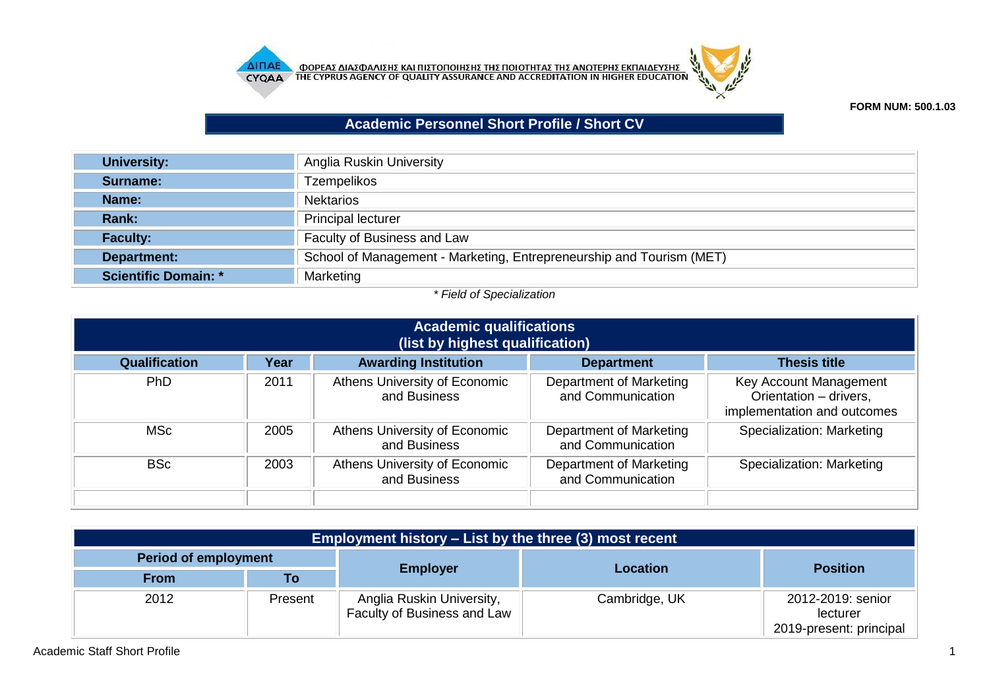



## **FORM NUM: 500.1.03**

## **Academic Personnel Short Profile / Short CV**

| University:                 | Anglia Ruskin University                                             |
|-----------------------------|----------------------------------------------------------------------|
| Surname:                    | <b>Tzempelikos</b>                                                   |
| Name:                       | <b>Nektarios</b>                                                     |
| Rank:                       | <b>Principal lecturer</b>                                            |
| <b>Faculty:</b>             | Faculty of Business and Law                                          |
| Department:                 | School of Management - Marketing, Entrepreneurship and Tourism (MET) |
| <b>Scientific Domain: *</b> | Marketing                                                            |

## *\* Field of Specialization*

| <b>Academic qualifications</b><br>(list by highest qualification) |      |                                               |                                              |                                                                                 |
|-------------------------------------------------------------------|------|-----------------------------------------------|----------------------------------------------|---------------------------------------------------------------------------------|
| <b>Qualification</b>                                              | Year | <b>Awarding Institution</b>                   | <b>Department</b>                            | <b>Thesis title</b>                                                             |
| <b>PhD</b>                                                        | 2011 | Athens University of Economic<br>and Business | Department of Marketing<br>and Communication | Key Account Management<br>Orientation - drivers,<br>implementation and outcomes |
| MSc                                                               | 2005 | Athens University of Economic<br>and Business | Department of Marketing<br>and Communication | Specialization: Marketing                                                       |
| <b>BSc</b>                                                        | 2003 | Athens University of Economic<br>and Business | Department of Marketing<br>and Communication | Specialization: Marketing                                                       |

| <b>Employment history – List by the three (3) most recent</b> |         |                                                          |                 |                                                          |  |
|---------------------------------------------------------------|---------|----------------------------------------------------------|-----------------|----------------------------------------------------------|--|
| <b>Period of employment</b>                                   |         |                                                          |                 |                                                          |  |
| <b>From</b>                                                   | Τo      | <b>Employer</b>                                          | <b>Location</b> | <b>Position</b>                                          |  |
| 2012                                                          | Present | Anglia Ruskin University,<br>Faculty of Business and Law | Cambridge, UK   | 2012-2019: senior<br>lecturer<br>2019-present: principal |  |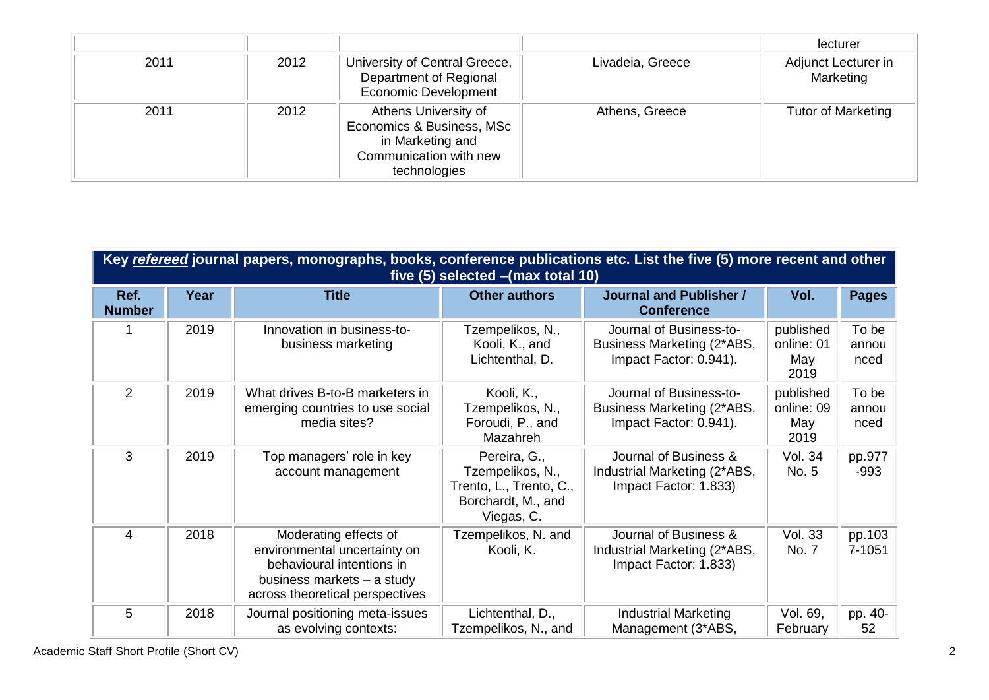|      |      |                                                                                                                 |                  | lecturer                         |
|------|------|-----------------------------------------------------------------------------------------------------------------|------------------|----------------------------------|
| 2011 | 2012 | University of Central Greece,<br>Department of Regional<br><b>Economic Development</b>                          | Livadeia, Greece | Adjunct Lecturer in<br>Marketing |
| 2011 | 2012 | Athens University of<br>Economics & Business, MSc<br>in Marketing and<br>Communication with new<br>technologies | Athens, Greece   | <b>Tutor of Marketing</b>        |

|                       | Key refereed journal papers, monographs, books, conference publications etc. List the five (5) more recent and other<br>five $(5)$ selected $-(max total 10)$ |                                                                                                                                                     |                                                                                                 |                                                                                 |                                        |                        |  |  |
|-----------------------|---------------------------------------------------------------------------------------------------------------------------------------------------------------|-----------------------------------------------------------------------------------------------------------------------------------------------------|-------------------------------------------------------------------------------------------------|---------------------------------------------------------------------------------|----------------------------------------|------------------------|--|--|
| Ref.<br><b>Number</b> | Year                                                                                                                                                          | <b>Title</b>                                                                                                                                        | <b>Other authors</b>                                                                            | <b>Journal and Publisher /</b><br><b>Conference</b>                             | Vol.                                   | <b>Pages</b>           |  |  |
| 1                     | 2019                                                                                                                                                          | Innovation in business-to-<br>business marketing                                                                                                    | Tzempelikos, N.,<br>Kooli, K., and<br>Lichtenthal, D.                                           | Journal of Business-to-<br>Business Marketing (2*ABS,<br>Impact Factor: 0.941). | published<br>online: 01<br>May<br>2019 | To be<br>annou<br>nced |  |  |
| $\overline{2}$        | 2019                                                                                                                                                          | What drives B-to-B marketers in<br>emerging countries to use social<br>media sites?                                                                 | Kooli, K.,<br>Tzempelikos, N.,<br>Foroudi, P., and<br>Mazahreh                                  | Journal of Business-to-<br>Business Marketing (2*ABS,<br>Impact Factor: 0.941). | published<br>online: 09<br>May<br>2019 | To be<br>annou<br>nced |  |  |
| 3                     | 2019                                                                                                                                                          | Top managers' role in key<br>account management                                                                                                     | Pereira, G.,<br>Tzempelikos, N.,<br>Trento, L., Trento, C.,<br>Borchardt, M., and<br>Viegas, C. | Journal of Business &<br>Industrial Marketing (2*ABS,<br>Impact Factor: 1.833)  | <b>Vol. 34</b><br>No. 5                | pp.977<br>$-993$       |  |  |
| $\overline{4}$        | 2018                                                                                                                                                          | Moderating effects of<br>environmental uncertainty on<br>behavioural intentions in<br>business markets - a study<br>across theoretical perspectives | Tzempelikos, N. and<br>Kooli, K.                                                                | Journal of Business &<br>Industrial Marketing (2*ABS,<br>Impact Factor: 1.833)  | <b>Vol. 33</b><br>No. 7                | pp.103<br>7-1051       |  |  |
| 5                     | 2018                                                                                                                                                          | Journal positioning meta-issues<br>as evolving contexts:                                                                                            | Lichtenthal, D.,<br>Tzempelikos, N., and                                                        | <b>Industrial Marketing</b><br>Management (3*ABS,                               | Vol. 69,<br>February                   | pp. 40-<br>52          |  |  |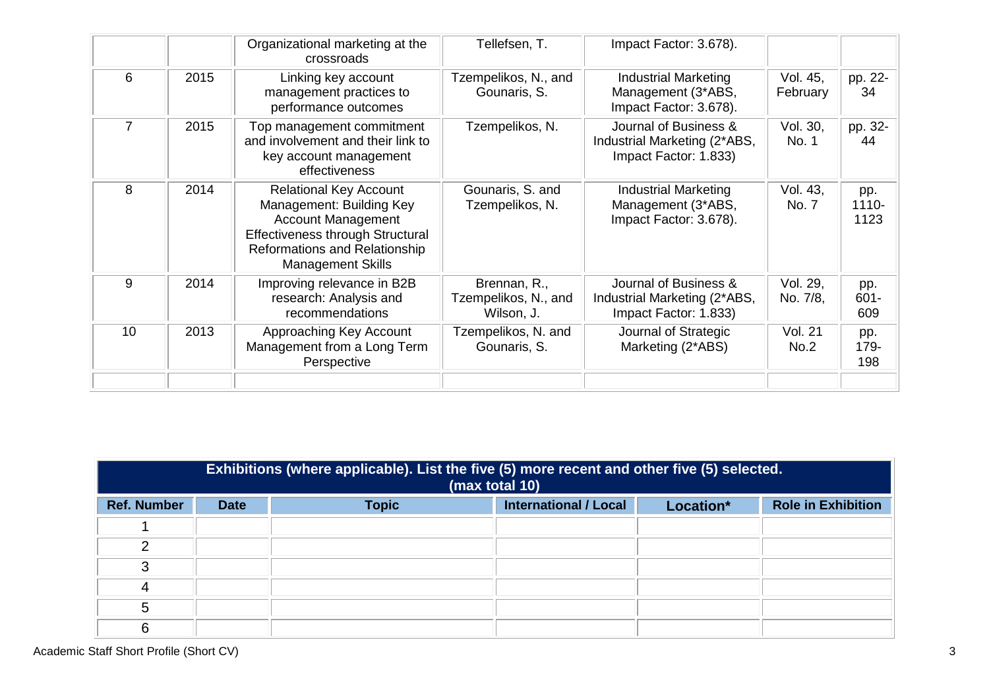|                |      | Organizational marketing at the<br>crossroads                                                                                                                                                  | Tellefsen, T.                                      | Impact Factor: 3.678).                                                         |                        |                       |
|----------------|------|------------------------------------------------------------------------------------------------------------------------------------------------------------------------------------------------|----------------------------------------------------|--------------------------------------------------------------------------------|------------------------|-----------------------|
| 6              | 2015 | Linking key account<br>management practices to<br>performance outcomes                                                                                                                         | Tzempelikos, N., and<br>Gounaris, S.               | <b>Industrial Marketing</b><br>Management (3*ABS,<br>Impact Factor: 3.678).    | Vol. 45,<br>February   | pp. 22-<br>34         |
| $\overline{7}$ | 2015 | Top management commitment<br>and involvement and their link to<br>key account management<br>effectiveness                                                                                      | Tzempelikos, N.                                    | Journal of Business &<br>Industrial Marketing (2*ABS,<br>Impact Factor: 1.833) | Vol. 30,<br>No. 1      | pp. 32-<br>44         |
| 8              | 2014 | <b>Relational Key Account</b><br>Management: Building Key<br><b>Account Management</b><br><b>Effectiveness through Structural</b><br>Reformations and Relationship<br><b>Management Skills</b> | Gounaris, S. and<br>Tzempelikos, N.                | <b>Industrial Marketing</b><br>Management (3*ABS,<br>Impact Factor: 3.678).    | Vol. 43,<br>No. 7      | pp.<br>1110-<br>1123  |
| 9              | 2014 | Improving relevance in B2B<br>research: Analysis and<br>recommendations                                                                                                                        | Brennan, R.,<br>Tzempelikos, N., and<br>Wilson, J. | Journal of Business &<br>Industrial Marketing (2*ABS,<br>Impact Factor: 1.833) | Vol. 29,<br>No. 7/8,   | pp.<br>$601 -$<br>609 |
| 10             | 2013 | Approaching Key Account<br>Management from a Long Term<br>Perspective                                                                                                                          | Tzempelikos, N. and<br>Gounaris, S.                | Journal of Strategic<br>Marketing (2*ABS)                                      | <b>Vol. 21</b><br>No.2 | pp.<br>179-<br>198    |
|                |      |                                                                                                                                                                                                |                                                    |                                                                                |                        |                       |

|                    | Exhibitions (where applicable). List the five (5) more recent and other five (5) selected.<br>(max total 10) |              |                              |           |                           |
|--------------------|--------------------------------------------------------------------------------------------------------------|--------------|------------------------------|-----------|---------------------------|
| <b>Ref. Number</b> | <b>Date</b>                                                                                                  | <b>Topic</b> | <b>International / Local</b> | Location* | <b>Role in Exhibition</b> |
|                    |                                                                                                              |              |                              |           |                           |
| ◠                  |                                                                                                              |              |                              |           |                           |
| 3                  |                                                                                                              |              |                              |           |                           |
| 4                  |                                                                                                              |              |                              |           |                           |
| 5                  |                                                                                                              |              |                              |           |                           |
| 6                  |                                                                                                              |              |                              |           |                           |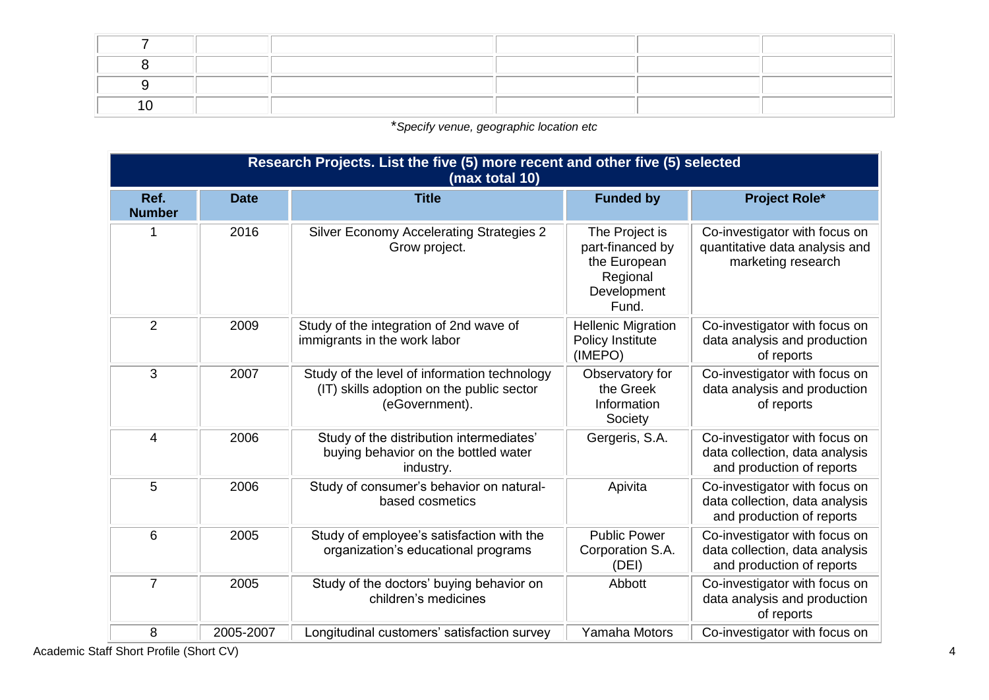\**Specify venue, geographic location etc*

|                       | Research Projects. List the five (5) more recent and other five (5) selected<br>(max total 10) |                                                                                                             |                                                                                        |                                                                                              |  |  |
|-----------------------|------------------------------------------------------------------------------------------------|-------------------------------------------------------------------------------------------------------------|----------------------------------------------------------------------------------------|----------------------------------------------------------------------------------------------|--|--|
| Ref.<br><b>Number</b> | <b>Date</b>                                                                                    | <b>Title</b>                                                                                                | <b>Funded by</b>                                                                       | <b>Project Role*</b>                                                                         |  |  |
| 1                     | 2016                                                                                           | <b>Silver Economy Accelerating Strategies 2</b><br>Grow project.                                            | The Project is<br>part-financed by<br>the European<br>Regional<br>Development<br>Fund. | Co-investigator with focus on<br>quantitative data analysis and<br>marketing research        |  |  |
| 2                     | 2009                                                                                           | Study of the integration of 2nd wave of<br>immigrants in the work labor                                     | <b>Hellenic Migration</b><br><b>Policy Institute</b><br>(IMEPO)                        | Co-investigator with focus on<br>data analysis and production<br>of reports                  |  |  |
| 3                     | 2007                                                                                           | Study of the level of information technology<br>(IT) skills adoption on the public sector<br>(eGovernment). | Observatory for<br>the Greek<br>Information<br>Society                                 | Co-investigator with focus on<br>data analysis and production<br>of reports                  |  |  |
| $\overline{4}$        | 2006                                                                                           | Study of the distribution intermediates'<br>buying behavior on the bottled water<br>industry.               | Gergeris, S.A.                                                                         | Co-investigator with focus on<br>data collection, data analysis<br>and production of reports |  |  |
| 5                     | 2006                                                                                           | Study of consumer's behavior on natural-<br>based cosmetics                                                 | Apivita                                                                                | Co-investigator with focus on<br>data collection, data analysis<br>and production of reports |  |  |
| 6                     | 2005                                                                                           | Study of employee's satisfaction with the<br>organization's educational programs                            | <b>Public Power</b><br>Corporation S.A.<br>(DEI)                                       | Co-investigator with focus on<br>data collection, data analysis<br>and production of reports |  |  |
| $\overline{7}$        | 2005                                                                                           | Study of the doctors' buying behavior on<br>children's medicines                                            | Abbott                                                                                 | Co-investigator with focus on<br>data analysis and production<br>of reports                  |  |  |
| 8                     | 2005-2007                                                                                      | Longitudinal customers' satisfaction survey                                                                 | Yamaha Motors                                                                          | Co-investigator with focus on                                                                |  |  |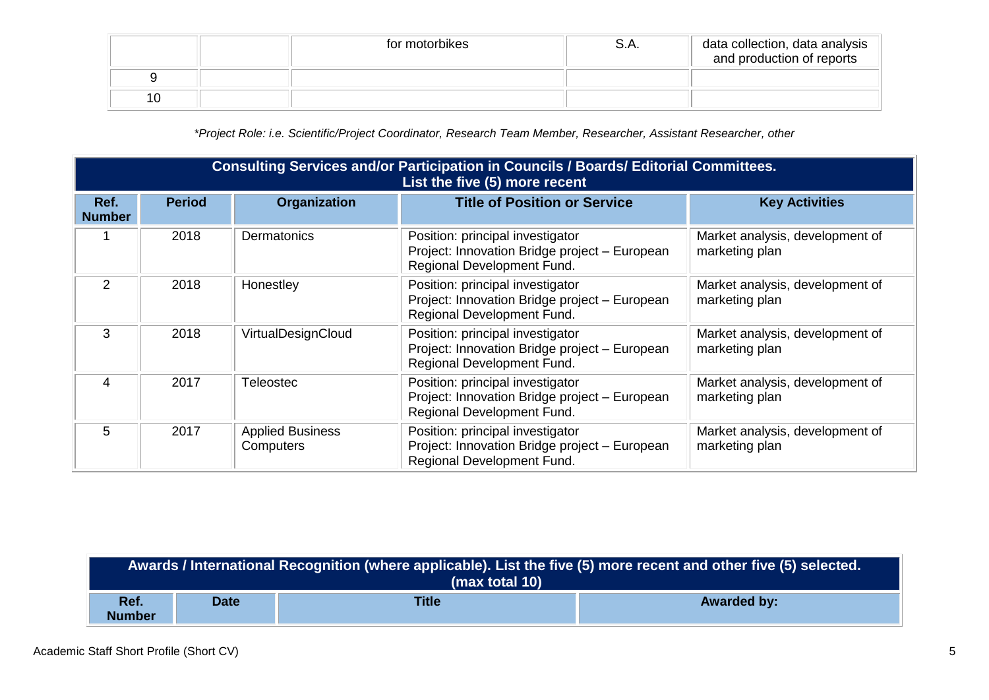|    | for motorbikes | 5.A. | data collection, data analysis<br>and production of reports |
|----|----------------|------|-------------------------------------------------------------|
|    |                |      |                                                             |
| 10 |                |      |                                                             |

*\*Project Role: i.e. Scientific/Project Coordinator, Research Team Member, Researcher, Assistant Researcher, other*

|                       | Consulting Services and/or Participation in Councils / Boards/ Editorial Committees.<br>List the five (5) more recent |                                      |                                                                                                                 |                                                   |  |  |
|-----------------------|-----------------------------------------------------------------------------------------------------------------------|--------------------------------------|-----------------------------------------------------------------------------------------------------------------|---------------------------------------------------|--|--|
| Ref.<br><b>Number</b> | <b>Period</b>                                                                                                         | <b>Organization</b>                  | <b>Title of Position or Service</b>                                                                             | <b>Key Activities</b>                             |  |  |
|                       | 2018                                                                                                                  | Dermatonics                          | Position: principal investigator<br>Project: Innovation Bridge project - European<br>Regional Development Fund. | Market analysis, development of<br>marketing plan |  |  |
| $\mathcal{P}$         | 2018                                                                                                                  | Honestley                            | Position: principal investigator<br>Project: Innovation Bridge project - European<br>Regional Development Fund. | Market analysis, development of<br>marketing plan |  |  |
| 3                     | 2018                                                                                                                  | VirtualDesignCloud                   | Position: principal investigator<br>Project: Innovation Bridge project - European<br>Regional Development Fund. | Market analysis, development of<br>marketing plan |  |  |
| 4                     | 2017                                                                                                                  | <b>Teleostec</b>                     | Position: principal investigator<br>Project: Innovation Bridge project - European<br>Regional Development Fund. | Market analysis, development of<br>marketing plan |  |  |
| 5                     | 2017                                                                                                                  | <b>Applied Business</b><br>Computers | Position: principal investigator<br>Project: Innovation Bridge project - European<br>Regional Development Fund. | Market analysis, development of<br>marketing plan |  |  |

| Awards / International Recognition (where applicable). List the five (5) more recent and other five (5) selected.<br>(max total 10) |             |              |                    |  |
|-------------------------------------------------------------------------------------------------------------------------------------|-------------|--------------|--------------------|--|
| Ref.<br><b>Number</b>                                                                                                               | <b>Date</b> | <b>Title</b> | <b>Awarded by:</b> |  |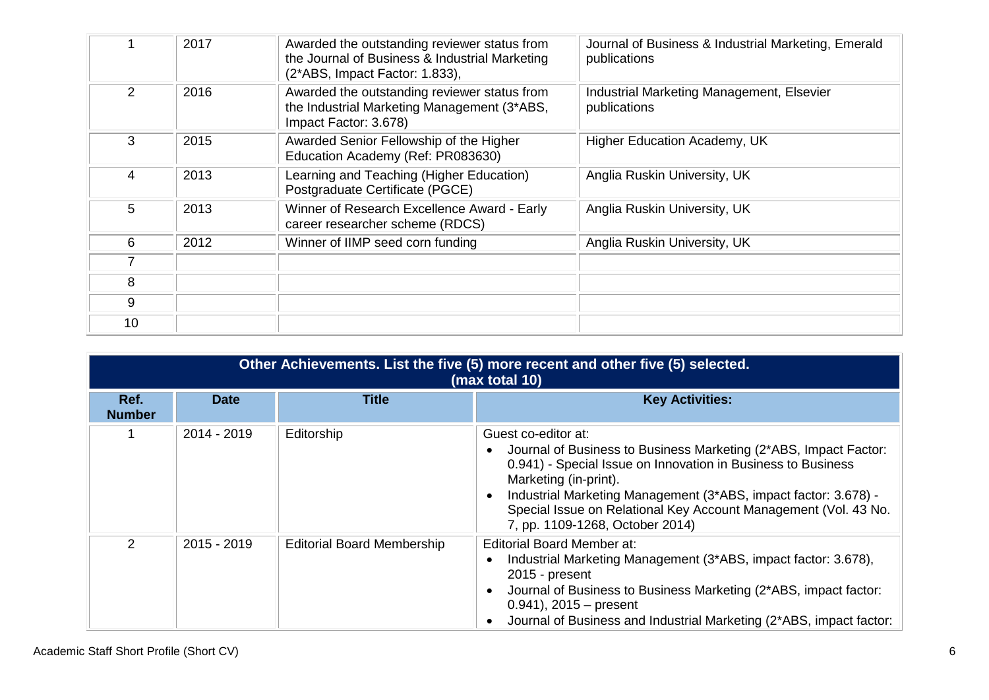|                | 2017 | Awarded the outstanding reviewer status from<br>the Journal of Business & Industrial Marketing<br>(2*ABS, Impact Factor: 1.833), | Journal of Business & Industrial Marketing, Emerald<br>publications |
|----------------|------|----------------------------------------------------------------------------------------------------------------------------------|---------------------------------------------------------------------|
| $\overline{2}$ | 2016 | Awarded the outstanding reviewer status from<br>the Industrial Marketing Management (3*ABS,<br>Impact Factor: 3.678)             | Industrial Marketing Management, Elsevier<br>publications           |
| 3              | 2015 | Awarded Senior Fellowship of the Higher<br>Education Academy (Ref: PR083630)                                                     | Higher Education Academy, UK                                        |
| 4              | 2013 | Learning and Teaching (Higher Education)<br>Postgraduate Certificate (PGCE)                                                      | Anglia Ruskin University, UK                                        |
| 5              | 2013 | Winner of Research Excellence Award - Early<br>career researcher scheme (RDCS)                                                   | Anglia Ruskin University, UK                                        |
| 6              | 2012 | Winner of IIMP seed corn funding                                                                                                 | Anglia Ruskin University, UK                                        |
|                |      |                                                                                                                                  |                                                                     |
| 8              |      |                                                                                                                                  |                                                                     |
| 9              |      |                                                                                                                                  |                                                                     |
| 10             |      |                                                                                                                                  |                                                                     |

| Other Achievements. List the five (5) more recent and other five (5) selected.<br>(max total 10) |             |                                   |                                                                                                                                                                                                                                                                                                                                                           |  |  |  |
|--------------------------------------------------------------------------------------------------|-------------|-----------------------------------|-----------------------------------------------------------------------------------------------------------------------------------------------------------------------------------------------------------------------------------------------------------------------------------------------------------------------------------------------------------|--|--|--|
| Ref.<br><b>Number</b>                                                                            | <b>Date</b> | <b>Title</b>                      | <b>Key Activities:</b>                                                                                                                                                                                                                                                                                                                                    |  |  |  |
|                                                                                                  | 2014 - 2019 | Editorship                        | Guest co-editor at:<br>Journal of Business to Business Marketing (2*ABS, Impact Factor:<br>0.941) - Special Issue on Innovation in Business to Business<br>Marketing (in-print).<br>Industrial Marketing Management (3*ABS, impact factor: 3.678) -<br>Special Issue on Relational Key Account Management (Vol. 43 No.<br>7, pp. 1109-1268, October 2014) |  |  |  |
| $\overline{2}$                                                                                   | 2015 - 2019 | <b>Editorial Board Membership</b> | Editorial Board Member at:<br>Industrial Marketing Management (3*ABS, impact factor: 3.678),<br>$2015$ - present<br>Journal of Business to Business Marketing (2*ABS, impact factor:<br>$0.941$ , 2015 – present<br>Journal of Business and Industrial Marketing (2*ABS, impact factor:                                                                   |  |  |  |